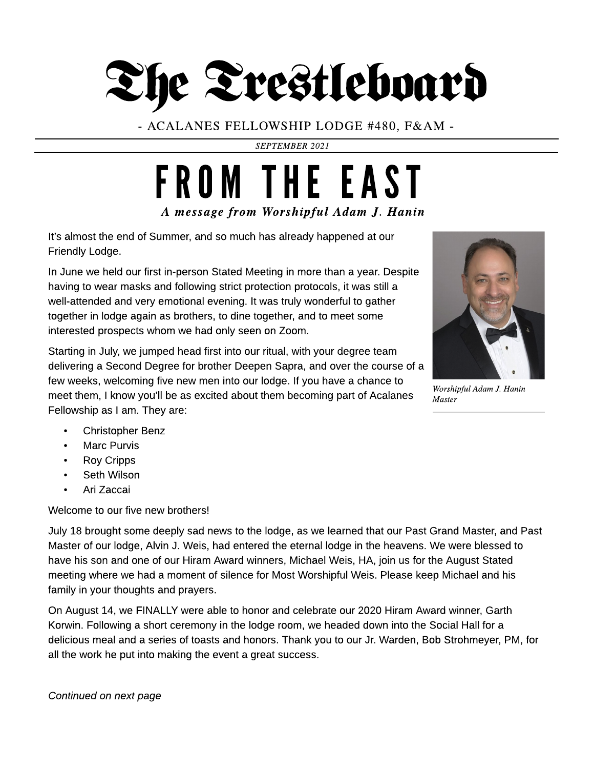

- ACALANES FELLOWSHIP LODGE #480, F& AM -

**SEPTEMBER 2021**

## **A message from Worshipful Adam J. Hanin** FROM THE EAST

It's almost the end of Summer, and so much has already happened at our Friendly Lodge.

In June we held our first in-person Stated Meeting in more than a year. Despite having to wear masks and following strict protection protocols, it was still a well-attended and very emotional evening. It was truly wonderful to gather together in lodge again as brothers, to dine together, and to meet some interested prospects whom we had only seen on Zoom.

Starting in July, we jumped head first into our ritual, with your degree team delivering a Second Degree for brother Deepen Sapra, and over the course of a few weeks, welcoming five new men into our lodge. If you have a chance to meet them, I know you?ll be as excited about them becoming part of Acalanes Fellowship as I am. They are:



**Worshipful AdamJ. Hanin Master**

- Christopher Benz
- Marc Purvis
- Roy Cripps
- Seth Wilson
- Ari Zaccai

Welcome to our five new brothers!

July 18 brought some deeply sad news to the lodge, as we learned that our Past Grand Master, and Past Master of our lodge, Alvin J. Weis, had entered the eternal lodge in the heavens. We were blessed to have his son and one of our Hiram Award winners, Michael Weis, HA, join us for the August Stated meeting where we had a moment of silence for Most Worshipful Weis. Please keep Michael and his family in your thoughts and prayers.

On August 14, we FINALLY were able to honor and celebrate our 2020 Hiram Award winner, Garth Korwin. Following a short ceremony in the lodge room, we headed down into the Social Hall for a delicious meal and a series of toasts and honors. Thank you to our Jr. Warden, Bob Strohmeyer, PM, for all the work he put into making the event a great success.

**Continued on next page**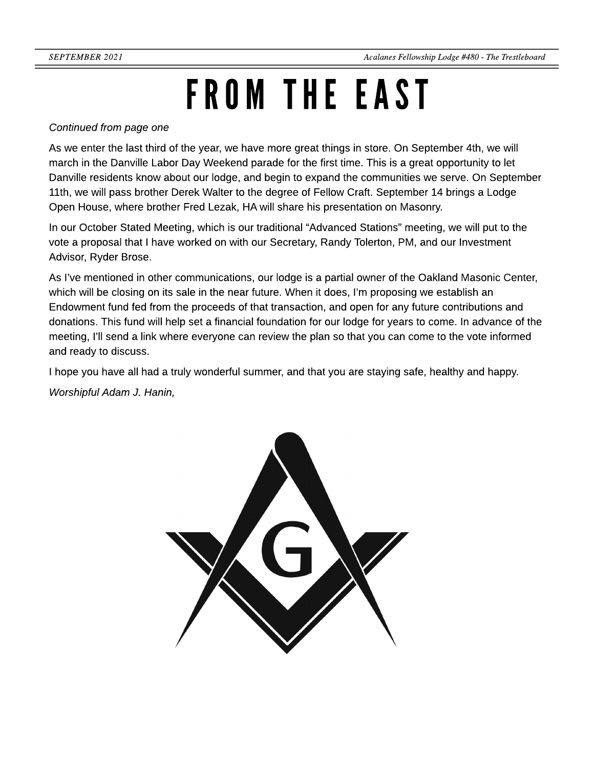# FROM THE EAST

#### **Continued from page one**

As we enter the last third of the year, we have more great things in store. On September 4th, we will march in the Danville Labor Day Weekend parade for the first time. This is a great opportunity to let Danville residents know about our lodge, and begin to expand the communities we serve. On September 11th, we will pass brother Derek Walter to the degree of Fellow Craft. September 14 brings a Lodge Open House, where brother Fred Lezak, HA will share his presentation on Masonry.

In our October Stated Meeting, which is our traditional "Advanced Stations" meeting, we will put to the vote a proposal that I have worked on with our Secretary, Randy Tolerton, PM, and our Investment Advisor, Ryder Brose.

As I've mentioned in other communications, our lodge is a partial owner of the Oakland Masonic Center, which will be closing on its sale in the near future. When it does, I'm proposing we establish an Endowment fund fed from the proceeds of that transaction, and open for any future contributions and donations. This fund will help set a financial foundation for our lodge for years to come. In advance of the meeting, I?ll send a link where everyone can review the plan so that you can come to the vote informed and ready to discuss.

I hope you have all had a truly wonderful summer, and that you are staying safe, healthy and happy.

**Worshipful Adam J. Hanin,**

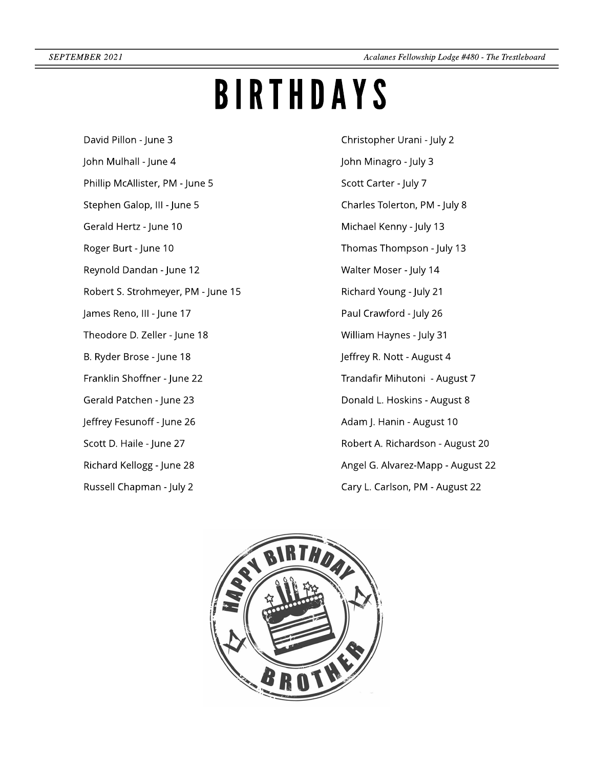**SEPTEMBER** 2021 *Acalanes Fellowship Lodge #480* **-** *The Trestleboard* 

# BIRTHDAYS

David Pillon - June 3 John Mulhall - June 4 Phillip McAllister, PM - June 5 Stephen Galop, III - June 5 Gerald Hertz - June 10 Roger Burt - June 10 Reynold Dandan - June 12 Robert S. Strohmeyer, PM - June 15 James Reno, III - June 17 Theodore D. Zeller - June 18 B. Ryder Brose - June 18 Franklin Shoffner - June 22 Gerald Patchen - June 23 Jeffrey Fesunoff - June 26 Scott D. Haile - June 27 Richard Kellogg - June 28 Russell Chapman - July 2

Christopher Urani - July 2 John Minagro - July 3 Scott Carter - July 7 Charles Tolerton, PM - July 8 Michael Kenny - July 13 Thomas Thompson - July 13 Walter Moser - July 14 Richard Young - July 21 Paul Crawford - July 26 William Haynes - July 31 Jeffrey R. Nott - August 4 Trandafir Mihutoni - August 7 Donald L. Hoskins - August 8 Adam J. Hanin - August 10 Robert A. Richardson - August 20 Angel G. Alvarez-Mapp - August 22 Cary L. Carlson, PM - August 22

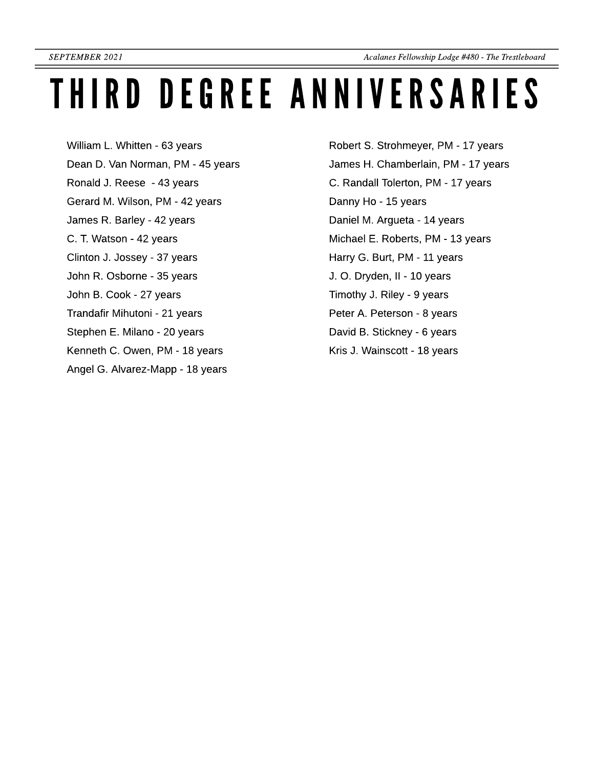## THIRD DEGREE ANNIVERSARIES

William L. Whitten - 63 years Dean D. Van Norman, PM - 45 years Ronald J. Reese - 43 years Gerard M. Wilson, PM - 42 years James R. Barley - 42 years C. T. Watson - 42 years Clinton J. Jossey - 37 years John R. Osborne - 35 years John B. Cook - 27 years Trandafir Mihutoni - 21 years Stephen E. Milano - 20 years Kenneth C. Owen, PM - 18 years Angel G. Alvarez-Mapp - 18 years

Robert S. Strohmeyer, PM - 17 years James H. Chamberlain, PM - 17 years C. Randall Tolerton, PM - 17 years Danny Ho - 15 years Daniel M. Argueta - 14 years Michael E. Roberts, PM - 13 years Harry G. Burt, PM - 11 years J. O. Dryden, II - 10 years Timothy J. Riley - 9 years Peter A. Peterson - 8 years David B. Stickney - 6 years Kris J. Wainscott - 18 years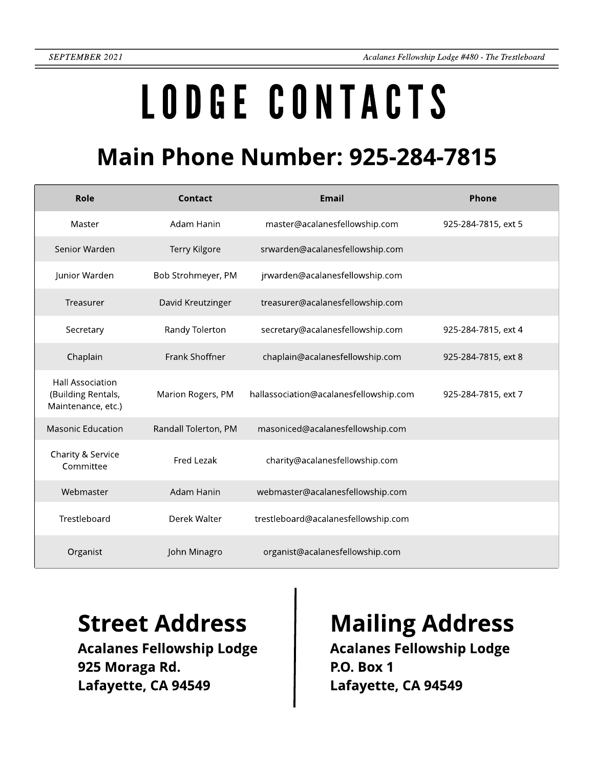# LODGECONTACTS

### **Main Phone Number: 925-284-7815**

| Role                                                                | Contact              | <b>Email</b>                           | Phone               |
|---------------------------------------------------------------------|----------------------|----------------------------------------|---------------------|
| Master                                                              | Adam Hanin           | master@acalanesfellowship.com          | 925-284-7815, ext 5 |
| Senior Warden                                                       | Terry Kilgore        | srwarden@acalanesfellowship.com        |                     |
| Junior Warden                                                       | Bob Strohmeyer, PM   | jrwarden@acalanesfellowship.com        |                     |
| Treasurer                                                           | David Kreutzinger    | treasurer@acalanesfellowship.com       |                     |
| Secretary                                                           | Randy Tolerton       | secretary@acalanesfellowship.com       | 925-284-7815, ext 4 |
| Chaplain                                                            | Frank Shoffner       | chaplain@acalanesfellowship.com        | 925-284-7815, ext 8 |
| <b>Hall Association</b><br>(Building Rentals,<br>Maintenance, etc.) | Marion Rogers, PM    | hallassociation@acalanesfellowship.com | 925-284-7815, ext 7 |
| <b>Masonic Education</b>                                            | Randall Tolerton, PM | masoniced@acalanesfellowship.com       |                     |
| Charity & Service<br>Committee                                      | Fred Lezak           | charity@acalanesfellowship.com         |                     |
| Webmaster                                                           | Adam Hanin           | webmaster@acalanesfellowship.com       |                     |
| Trestleboard                                                        | Derek Walter         | trestleboard@acalanesfellowship.com    |                     |
| Organist                                                            | John Minagro         | organist@acalanesfellowship.com        |                     |

Acalanes Fellowship Lodge 925 Moraga Rd. Lafayette, CA 94549

### Street Address | Mailing Address

Acalanes Fellowship Lodge P.O. Box 1 Lafayette, CA 94549